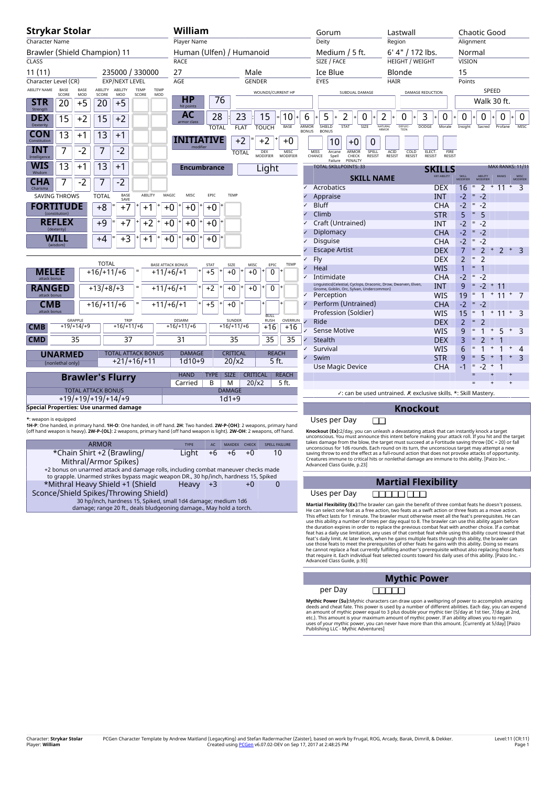| <b>Strykar Stolar</b>                                                                                                                                                      |                                   |                         |                           |                                        |                              | William                                                                                                                             |                            |                               |                        |                            | Gorum                        |                                                         |                           | Lastwall                                                                                                    |                                                                                                                                                                                                               |                   | Chaotic Good        |                        |                             |
|----------------------------------------------------------------------------------------------------------------------------------------------------------------------------|-----------------------------------|-------------------------|---------------------------|----------------------------------------|------------------------------|-------------------------------------------------------------------------------------------------------------------------------------|----------------------------|-------------------------------|------------------------|----------------------------|------------------------------|---------------------------------------------------------|---------------------------|-------------------------------------------------------------------------------------------------------------|---------------------------------------------------------------------------------------------------------------------------------------------------------------------------------------------------------------|-------------------|---------------------|------------------------|-----------------------------|
| Character Name                                                                                                                                                             |                                   |                         |                           |                                        | Player Name                  |                                                                                                                                     |                            |                               | Deity                  | Region                     |                              |                                                         |                           | Alignment                                                                                                   |                                                                                                                                                                                                               |                   |                     |                        |                             |
| Brawler (Shield Champion) 11                                                                                                                                               |                                   |                         |                           |                                        | Human (Ulfen) / Humanoid     |                                                                                                                                     |                            |                               | Medium / 5 ft.         |                            | 6' 4" / 172 lbs.             |                                                         | Normal                    |                                                                                                             |                                                                                                                                                                                                               |                   |                     |                        |                             |
| <b>CLASS</b>                                                                                                                                                               |                                   |                         |                           | <b>RACE</b>                            |                              |                                                                                                                                     |                            | SIZE / FACE                   |                        |                            | <b>HEIGHT / WEIGHT</b>       |                                                         | <b>VISION</b>             |                                                                                                             |                                                                                                                                                                                                               |                   |                     |                        |                             |
| 11(11)<br>235000 / 330000                                                                                                                                                  |                                   |                         |                           | 27                                     | Male                         |                                                                                                                                     |                            | Ice Blue                      |                        |                            | <b>Blonde</b>                |                                                         | 15                        |                                                                                                             |                                                                                                                                                                                                               |                   |                     |                        |                             |
| Character Level (CR)                                                                                                                                                       |                                   |                         |                           | EXP/NEXT LEVEL                         |                              | AGE                                                                                                                                 |                            | <b>GENDER</b>                 |                        |                            | EYES                         |                                                         |                           | <b>HAIR</b>                                                                                                 |                                                                                                                                                                                                               | Points            |                     |                        |                             |
| ABILITY NAME                                                                                                                                                               | BASE<br>SCORE                     | BASE<br>MOD             | ABILITY<br>SCORE          | ABILITY<br>MOD                         | TEMP<br>TEMP<br>MOD<br>SCORE |                                                                                                                                     | WOUNDS/CURRENT HP          |                               |                        |                            | SUBDUAL DAMAGE               |                                                         |                           | DAMAGE REDUCTION                                                                                            |                                                                                                                                                                                                               |                   | SPEED               |                        |                             |
| STR<br>Strength                                                                                                                                                            | 20                                | $+5$                    | 20                        | $+5$                                   |                              | НP<br>hit points                                                                                                                    | 76                         |                               |                        |                            |                              |                                                         |                           |                                                                                                             |                                                                                                                                                                                                               |                   | Walk 30 ft.         |                        |                             |
| <b>DEX</b><br>Dexterity                                                                                                                                                    | 15                                | $+2$                    | 15                        | $+2$                                   |                              | AC<br>armor class                                                                                                                   | 28<br><b>TOTAL</b>         | 23<br><b>FLAT</b>             | 15<br>TOUCH            | 10<br>BASE                 | 6<br>5<br>ARMOR<br>SHIELD    | 2<br><b>STAT</b>                                        | 2<br>0<br>NATURAL<br>SIZE | 0<br>DEFLEC-                                                                                                | 3<br>0<br>DODGE<br>Morale                                                                                                                                                                                     | 0<br>Insight      | 0<br>Sacred         | 0<br>Profane           | 0<br>MISC                   |
| CON<br>Constitution                                                                                                                                                        | 13                                | $+1$                    | 13                        | $+1$                                   |                              | <b>INITIATIVE</b>                                                                                                                   |                            | $+2$                          | $+2$                   | +0                         | <b>BONUS</b><br><b>BONUS</b> | 10<br>+0                                                | ARMOR<br>0                |                                                                                                             |                                                                                                                                                                                                               |                   |                     |                        |                             |
| IN 1<br>Intelligence                                                                                                                                                       | 7                                 | $-2$                    | 7                         | $-2$                                   |                              | modifier                                                                                                                            |                            | <b>TOTAL</b>                  | <b>DEX</b><br>MODIFIER | MISC<br>MODIFIER           | <b>MISS</b><br>CHANCE        | ARMOR<br>Arcane<br>CHECK<br>Spell<br>PENALTY<br>Failure | SPELL<br>RESIST           | ACID<br>COLD<br>RESIST<br>RESIST                                                                            | ELECT.<br><b>FIRE</b><br>RESIST<br>RESIST                                                                                                                                                                     |                   |                     |                        |                             |
| WIS<br>Wisdom                                                                                                                                                              | 13                                | $+1$                    | 13                        | $+1$                                   |                              | <b>Encumbrance</b>                                                                                                                  |                            |                               | Light                  |                            |                              | <b>TOTAL SKILLPOINTS: 33</b>                            |                           |                                                                                                             | SKILLS<br><b>KEY ABILITY</b>                                                                                                                                                                                  |                   |                     | <b>RANKS</b>           | <b>MAX RANKS: 11/11</b>     |
| CHA                                                                                                                                                                        |                                   | $-2$                    | 7                         | $-2$                                   |                              |                                                                                                                                     |                            |                               |                        |                            | Acrobatics                   |                                                         | <b>SKILL NAME</b>         |                                                                                                             |                                                                                                                                                                                                               | SKILL<br>MODIFIER | ABILITY<br>MODIFIER |                        | <b>MODIFIE</b><br>$\ddot{}$ |
| Charisma                                                                                                                                                                   | SAVING THROWS                     |                         | <b>TOTAL</b>              | BASE                                   | ABILITY                      | MISC<br>MAGIC                                                                                                                       | EPIC<br>TEMP               |                               |                        |                            | Appraise                     |                                                         |                           |                                                                                                             | <b>DEX</b><br><b>INT</b>                                                                                                                                                                                      | 16<br>$-2$        | 2<br>E<br>$-2$      | -11                    | 3                           |
| <b>FORTITUDE</b>                                                                                                                                                           |                                   |                         | $+8$                      | SAVE                                   | $+1$                         | +0                                                                                                                                  | +0                         |                               |                        |                            | <b>Bluff</b>                 |                                                         |                           |                                                                                                             | CHA                                                                                                                                                                                                           | $-2$              | $= -2$              |                        |                             |
|                                                                                                                                                                            | <i><u><b>Constitution</b></u></i> |                         |                           | +7                                     |                              | $+0$                                                                                                                                |                            |                               |                        |                            | Climb                        |                                                         |                           |                                                                                                             | <b>STR</b>                                                                                                                                                                                                    | 5                 | 5<br>E              |                        |                             |
|                                                                                                                                                                            | <b>REFLEX</b>                     |                         | $+9$                      | +7                                     | $+2$                         | $+0$<br>$+0$                                                                                                                        | $+0$                       |                               |                        |                            |                              | Craft (Untrained)                                       |                           |                                                                                                             | <b>INT</b>                                                                                                                                                                                                    |                   | $-2 = -2$           |                        |                             |
|                                                                                                                                                                            | (dexterity)                       |                         |                           |                                        |                              |                                                                                                                                     |                            |                               |                        |                            | Diplomacy                    |                                                         |                           |                                                                                                             | <b>CHA</b>                                                                                                                                                                                                    |                   | $-2 = -2$           |                        |                             |
|                                                                                                                                                                            | WILL<br>(wisdom)                  |                         | +4                        | $+3$                                   | $+1$                         | $+0$<br>$+0$                                                                                                                        | $+0$                       |                               |                        |                            | <b>Disquise</b>              |                                                         |                           |                                                                                                             | <b>CHA</b>                                                                                                                                                                                                    |                   | $-2 = -2$           |                        |                             |
|                                                                                                                                                                            |                                   |                         |                           |                                        |                              |                                                                                                                                     |                            |                               |                        |                            |                              | <b>Escape Artist</b>                                    |                           |                                                                                                             | <b>DEX</b>                                                                                                                                                                                                    | 7                 | $= 2 +$             |                        | $2 +$<br>3                  |
|                                                                                                                                                                            |                                   |                         | <b>TOTAL</b>              |                                        |                              | <b>BASE ATTACK BONUS</b>                                                                                                            | <b>STAT</b><br>SIZE        | MISC                          | EPIC                   | TEMP                       | Fly<br>Heal                  |                                                         |                           |                                                                                                             | <b>DEX</b>                                                                                                                                                                                                    | $\overline{2}$    | 2<br>Ξ<br>$= 1$     |                        |                             |
| MELEE                                                                                                                                                                      |                                   |                         | $+16/+11/+6$              |                                        |                              | $+11/+6/+1$                                                                                                                         | $+5$<br>$+0$               | $+0$                          | $\mathbf 0$            |                            | Intimidate                   |                                                         |                           |                                                                                                             | <b>WIS</b><br><b>CHA</b>                                                                                                                                                                                      | $\mathbf{1}$      | $-2 = -2$           |                        |                             |
|                                                                                                                                                                            |                                   |                         |                           | $\equiv$                               |                              |                                                                                                                                     |                            |                               |                        |                            |                              |                                                         |                           | Linguistics(Celestial, Cyclops, Draconic, Drow, Dwarven, Elven,<br>Gnome, Goblin, Orc, Sylvan, Undercommon) | <b>INT</b>                                                                                                                                                                                                    |                   | $9 = -2 + 11$       |                        |                             |
| RANGED<br>attack bonus                                                                                                                                                     |                                   |                         | $+13/+8/+3$               |                                        |                              | $+11/+6/+1$                                                                                                                         | $+2$<br>$+0$               | $+0$                          | $\mathbf 0$            |                            | Perception                   |                                                         |                           |                                                                                                             | <b>WIS</b>                                                                                                                                                                                                    |                   |                     |                        | $19 = 1 + 11 + 7$           |
| СМВ                                                                                                                                                                        |                                   |                         | $+16/+11/+6$              |                                        |                              | $+11/+6/+1$                                                                                                                         | $+5$<br>$+0$               |                               |                        |                            |                              | Perform (Untrained)                                     |                           |                                                                                                             | <b>CHA</b>                                                                                                                                                                                                    | $-2$              | $-2$                |                        |                             |
| attack bonus                                                                                                                                                               |                                   |                         |                           |                                        |                              |                                                                                                                                     |                            |                               | <b>BUTT</b>            |                            |                              | Profession (Soldier)                                    |                           |                                                                                                             | <b>WIS</b>                                                                                                                                                                                                    |                   |                     |                        | $15 = 1 + 11 + 3$           |
|                                                                                                                                                                            |                                   | GRAPPLE<br>$+19/+14/+9$ |                           | TRIP<br>$+16/+11/+6$                   |                              | <b>DISARM</b><br>$+16/+11/+6$                                                                                                       |                            | SUNDER<br>$+16/+11/+6$        | <b>RUSH</b>            | OVERRUN                    | Ride                         |                                                         |                           |                                                                                                             | <b>DEX</b>                                                                                                                                                                                                    | $\overline{2}$    |                     |                        |                             |
| <b>CMB</b>                                                                                                                                                                 |                                   |                         |                           |                                        |                              |                                                                                                                                     |                            |                               | +16                    | $+16$                      |                              | Sense Motive                                            |                           |                                                                                                             | <b>WIS</b>                                                                                                                                                                                                    | 9                 | $= 1$               |                        | $+5 + 3$                    |
| <b>CMD</b>                                                                                                                                                                 |                                   | 35                      |                           | 37                                     |                              | 31                                                                                                                                  |                            | 35                            | 35                     | 35                         | Stealth                      |                                                         |                           |                                                                                                             | <b>DEX</b>                                                                                                                                                                                                    | 3                 | 2                   | $^{+}$<br>$\mathbf{1}$ |                             |
|                                                                                                                                                                            | <b>UNARMED</b>                    |                         |                           | <b>TOTAL ATTACK BONUS</b>              |                              | <b>DAMAGE</b>                                                                                                                       |                            | <b>CRITICAL</b>               | <b>REACH</b>           |                            | Survival                     |                                                         |                           |                                                                                                             | WIS                                                                                                                                                                                                           | 6                 | -1                  | $^{+}$<br>$\mathbf{1}$ | $+$<br>4                    |
|                                                                                                                                                                            | (nonlethal only)                  |                         |                           | $+21/+16/+11$                          |                              | $1d10+9$                                                                                                                            |                            | 20/x2                         | 5 ft.                  |                            | Swim                         |                                                         |                           |                                                                                                             | <b>STR</b>                                                                                                                                                                                                    | 9<br>-1           |                     | 1<br>1                 | $^{+}$<br>3                 |
|                                                                                                                                                                            |                                   |                         |                           |                                        |                              | <b>HAND</b>                                                                                                                         | <b>SIZE</b><br><b>TYPE</b> | <b>CRITICAL</b>               |                        | <b>REACH</b>               |                              | Use Magic Device                                        |                           |                                                                                                             | <b>CHA</b>                                                                                                                                                                                                    |                   |                     |                        |                             |
|                                                                                                                                                                            |                                   |                         |                           | <b>Brawler's Flurry</b>                |                              | Carried                                                                                                                             | B<br>м                     | 20/x2                         |                        | 5 ft.                      |                              |                                                         |                           |                                                                                                             |                                                                                                                                                                                                               |                   |                     |                        | $\ddot{}$                   |
|                                                                                                                                                                            |                                   |                         | <b>TOTAL ATTACK BONUS</b> |                                        |                              |                                                                                                                                     | <b>DAMAGE</b>              |                               |                        |                            |                              |                                                         |                           |                                                                                                             | √: can be used untrained. X: exclusive skills. *: Skill Mastery.                                                                                                                                              |                   |                     |                        |                             |
|                                                                                                                                                                            |                                   |                         | $+19/+19/+19/+14/+9$      | Special Properties: Use unarmed damage |                              |                                                                                                                                     | $1d1+9$                    |                               |                        |                            |                              |                                                         |                           |                                                                                                             |                                                                                                                                                                                                               |                   |                     |                        |                             |
| *: weapon is equipped                                                                                                                                                      |                                   |                         |                           |                                        |                              |                                                                                                                                     |                            |                               |                        |                            |                              |                                                         |                           |                                                                                                             | <b>Knockout</b>                                                                                                                                                                                               |                   |                     |                        |                             |
|                                                                                                                                                                            |                                   |                         |                           |                                        |                              | 1H-P: One handed, in primary hand. 1H-O: One handed, in off hand. 2H: Two handed. 2W-P-(OH): 2 weapons, primary hand                |                            |                               |                        |                            | Uses per Day                 |                                                         | 99                        |                                                                                                             |                                                                                                                                                                                                               |                   |                     |                        |                             |
|                                                                                                                                                                            |                                   |                         |                           |                                        |                              | (off hand weapon is heavy). 2W-P-(OL): 2 weapons, primary hand (off hand weapon is light). 2W-OH: 2 weapons, off hand.              |                            |                               |                        |                            |                              |                                                         |                           |                                                                                                             | Knockout (Ex):2/day, you can unleash a devastating attack that can instantly knock a target<br>unconscious. You must announce this intent before making your attack roll. If you hit and the target           |                   |                     |                        |                             |
|                                                                                                                                                                            |                                   |                         | <b>ARMOR</b>              |                                        |                              | TYPE                                                                                                                                |                            | AC MAXDEX CHECK SPELL FAILURE |                        |                            |                              |                                                         |                           |                                                                                                             | takes damage from the blow, the target must succeed at a Fortitude saving throw (DC = 20) or fall<br>unconscious for 1d6 rounds. Each round on its turn, the unconscious target may attempt a new             |                   |                     |                        |                             |
|                                                                                                                                                                            |                                   |                         |                           | *Chain Shirt +2 (Brawling/             |                              | Light                                                                                                                               | +6<br>+6                   | $+0$                          | 10                     |                            |                              |                                                         |                           |                                                                                                             | saving throw to end the effect as a full-round action that does not provoke attacks of opportunity.                                                                                                           |                   |                     |                        |                             |
|                                                                                                                                                                            |                                   |                         |                           | Mithral/Armor Spikes)                  |                              |                                                                                                                                     |                            |                               |                        |                            | Advanced Class Guide, p.23]  |                                                         |                           |                                                                                                             | Creatures immune to critical hits or nonlethal damage are immune to this ability. [Paizo Inc. -                                                                                                               |                   |                     |                        |                             |
| +2 bonus on unarmed attack and damage rolls, including combat maneuver checks made<br>to grapple. Unarmed strikes bypass magic weapon DR., 30 hp/inch, hardness 15, Spiked |                                   |                         |                           |                                        |                              |                                                                                                                                     |                            |                               |                        |                            |                              |                                                         |                           |                                                                                                             |                                                                                                                                                                                                               |                   |                     |                        |                             |
| *Mithral Heavy Shield +1 (Shield<br>Heavy $+3$<br>$+0$<br>$\mathbf 0$                                                                                                      |                                   |                         |                           |                                        |                              |                                                                                                                                     |                            |                               |                        | <b>Martial Flexibility</b> |                              |                                                         |                           |                                                                                                             |                                                                                                                                                                                                               |                   |                     |                        |                             |
|                                                                                                                                                                            |                                   |                         |                           | Sconce/Shield Spikes/Throwing Shield)  |                              |                                                                                                                                     |                            |                               |                        |                            | Uses per Day                 |                                                         |                           | 00000 000                                                                                                   |                                                                                                                                                                                                               |                   |                     |                        |                             |
|                                                                                                                                                                            |                                   |                         |                           |                                        |                              | 30 hp/inch, hardness 15, Spiked, small 1d4 damage; medium 1d6<br>damage; range 20 ft., deals bludgeoning damage., May hold a torch. |                            |                               |                        |                            |                              |                                                         |                           |                                                                                                             | Martial Flexibility (Ex): The brawler can gain the benefit of three combat feats he doesn't possess.                                                                                                          |                   |                     |                        |                             |
|                                                                                                                                                                            |                                   |                         |                           |                                        |                              |                                                                                                                                     |                            |                               |                        |                            |                              |                                                         |                           |                                                                                                             | He can select one feat as a free action, two feats as a swift action or three feats as a move action.<br>This effect lasts for 1 minute. The brawler must otherwise meet all the feat's prerequisites. He can |                   |                     |                        |                             |
|                                                                                                                                                                            |                                   |                         |                           |                                        |                              |                                                                                                                                     |                            |                               |                        |                            |                              |                                                         |                           |                                                                                                             | use this ability a number of times per day equal to 8. The brawler can use this ability again before<br>the duration expires in order to replace the previous combat feat with another choice. If a combat    |                   |                     |                        |                             |
|                                                                                                                                                                            |                                   |                         |                           |                                        |                              |                                                                                                                                     |                            |                               |                        |                            |                              |                                                         |                           |                                                                                                             | feat has a daily use limitation, any uses of that combat feat while using this ability count toward that                                                                                                      |                   |                     |                        |                             |

the duration expires in order to replace the previous combat feat with another choice. If a combat<br>feat has a daily use limitation, any uses of that combat feat while using this ability count toward that<br>feat's daily limit

### **Mythic Power**

### per Day <del>Q</del>

**Mythic Power (Su):**Mythic characters can draw upon a wellspring of power to accomplish amazing deeds and cheat fate. This power is used by a number of different abilities. Each day, you can expend<br>an amount of mythic powe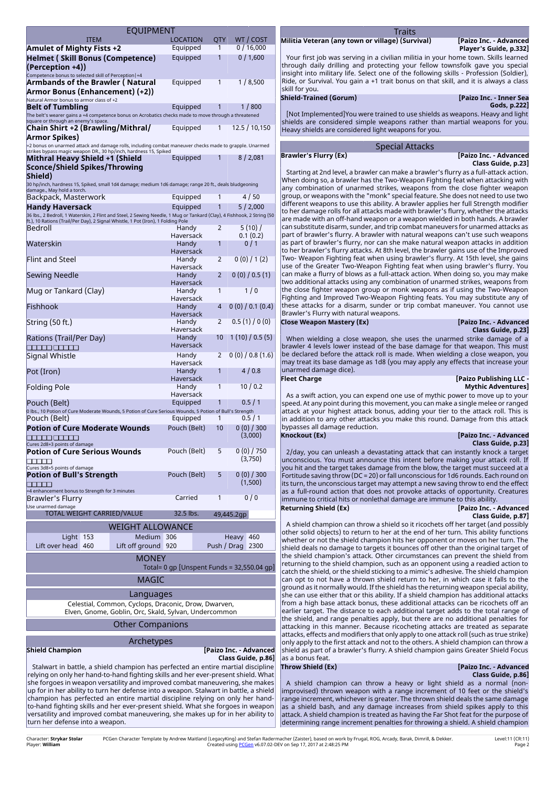|                                                                          |             | <b>EQUIPMENT</b>                                                                                                                                                                                           |                          |              |                                              |
|--------------------------------------------------------------------------|-------------|------------------------------------------------------------------------------------------------------------------------------------------------------------------------------------------------------------|--------------------------|--------------|----------------------------------------------|
| Amulet of Mighty Fists +2                                                | <b>ITEM</b> |                                                                                                                                                                                                            | LOCATION<br>Equipped     | QTY<br>1     | WT / COST<br>0/16,000                        |
| Helmet ( Skill Bonus (Competence)                                        |             |                                                                                                                                                                                                            | Equipped                 | 1            | 0/1,600                                      |
| (Perception +4))                                                         |             |                                                                                                                                                                                                            |                          |              |                                              |
| Competence bonus to selected skill of Perception   +4                    |             |                                                                                                                                                                                                            |                          |              |                                              |
| Armbands of the Brawler ( Natural                                        |             |                                                                                                                                                                                                            | Equipped                 | 1            | 1 / 8,500                                    |
| Armor Bonus (Enhancement) (+2))                                          |             |                                                                                                                                                                                                            |                          |              |                                              |
| Natural Armor bonus to armor class of +2<br><b>Belt of Tumbling</b>      |             |                                                                                                                                                                                                            | Equipped                 | 1            | 1/800                                        |
|                                                                          |             | The belt's wearer gains a +4 competence bonus on Acrobatics checks made to move through a threatened                                                                                                       |                          |              |                                              |
| square or through an enemy's space.<br>Chain Shirt +2 (Brawling/Mithral/ |             |                                                                                                                                                                                                            | Equipped                 | 1            | 12.5 / 10,150                                |
| Armor Spikes)                                                            |             |                                                                                                                                                                                                            |                          |              |                                              |
|                                                                          |             | +2 bonus on unarmed attack and damage rolls, including combat maneuver checks made to grapple. Unarmed                                                                                                     |                          |              |                                              |
| Mithral Heavy Shield +1 (Shield                                          |             | strikes bypass magic weapon DR., 30 hp/inch, hardness 15, Spiked                                                                                                                                           | Equipped                 |              | 8 / 2,081                                    |
| Sconce/Shield Spikes/Throwing                                            |             |                                                                                                                                                                                                            |                          |              |                                              |
| (Shield                                                                  |             |                                                                                                                                                                                                            |                          |              |                                              |
| damage., May hold a torch.                                               |             | 30 hp/inch, hardness 15, Spiked, small 1d4 damage; medium 1d6 damage; range 20 ft., deals bludgeoning                                                                                                      |                          |              |                                              |
| Backpack, Masterwork                                                     |             |                                                                                                                                                                                                            | Equipped                 | 1            | 4 / 50                                       |
| <b>Handy Haversack</b>                                                   |             |                                                                                                                                                                                                            | Equipped                 | 1            | 5/2,000                                      |
|                                                                          |             | 36 lbs., 2 Bedroll, 1 Waterskin, 2 Flint and Steel, 2 Sewing Needle, 1 Mug or Tankard (Clay), 4 Fishhook, 2 String (50<br>ft.), 10 Rations (Trail/Per Day), 2 Signal Whistle, 1 Pot (Iron), 1 Folding Pole |                          |              |                                              |
| Bedroll                                                                  |             |                                                                                                                                                                                                            | Handy                    | 2            | 5(10)/                                       |
|                                                                          |             |                                                                                                                                                                                                            | Haversack                |              | 0.1(0.2)                                     |
| Waterskin                                                                |             |                                                                                                                                                                                                            | Handy<br>Haversack       | 1            | 0/1                                          |
| Flint and Steel                                                          |             |                                                                                                                                                                                                            | Handy                    | 2            | 0(0)/1(2)                                    |
|                                                                          |             |                                                                                                                                                                                                            | Haversack                |              |                                              |
| Sewing Needle                                                            |             |                                                                                                                                                                                                            | Handy<br>Haversack       | 2            | 0(0)/0.5(1)                                  |
| Mug or Tankard (Clay)                                                    |             |                                                                                                                                                                                                            | Handy                    | 1            | 1/0                                          |
|                                                                          |             |                                                                                                                                                                                                            | Haversack                |              |                                              |
| Fishhook                                                                 |             |                                                                                                                                                                                                            | Handy<br>Haversack       | 4            | 0 (0) / 0.1 (0.4)                            |
| String (50 ft.)                                                          |             |                                                                                                                                                                                                            | Handy                    | 2            | 0.5(1)/0(0)                                  |
|                                                                          |             |                                                                                                                                                                                                            | Haversack                |              |                                              |
| Rations (Trail/Per Day)                                                  |             |                                                                                                                                                                                                            | Handy<br>Haversack       | 10           | 1 (10) / 0.5 (5)                             |
| 30000 00000<br>Signal Whistle                                            |             |                                                                                                                                                                                                            | Handy                    | 2            | 0(0)/0.8(1.6)                                |
|                                                                          |             |                                                                                                                                                                                                            | Haversack                |              |                                              |
| Pot (Iron)                                                               |             |                                                                                                                                                                                                            | Handy                    | 1            | 4/0.8                                        |
|                                                                          |             |                                                                                                                                                                                                            | Haversack<br>Handy       | 1            | 10/0.2                                       |
| Folding Pole                                                             |             |                                                                                                                                                                                                            | Haversack                |              |                                              |
| Pouch (Belt)                                                             |             |                                                                                                                                                                                                            | Equipped                 | 1            | 0.5/1                                        |
|                                                                          |             | 0 lbs., 10 Potion of Cure Moderate Wounds, 5 Potion of Cure Serious Wounds, 5 Potion of Bull's Strength                                                                                                    |                          | 1            | 0.5/1                                        |
| Pouch (Belt)                                                             |             |                                                                                                                                                                                                            | Equipped<br>Pouch (Belt) | 10           | 0 (0) / 300                                  |
| Potion of Cure Moderate Wounds<br>ووووو ووووو                            |             |                                                                                                                                                                                                            |                          |              | (3,000)                                      |
| Cures 2d8+3 points of damage                                             |             |                                                                                                                                                                                                            |                          |              |                                              |
| <b>Potion of Cure Serious Wounds</b>                                     |             |                                                                                                                                                                                                            | Pouch (Belt)             | 5            | 0(0)/750                                     |
| 30000<br>Cures 3d8+5 points of damage                                    |             |                                                                                                                                                                                                            |                          |              | (3,750)                                      |
| <b>Potion of Bull's Strength</b>                                         |             |                                                                                                                                                                                                            | Pouch (Belt)             | 5            | 0(0)/300                                     |
| nnnn                                                                     |             |                                                                                                                                                                                                            |                          |              | (1,500)                                      |
| +4 enhancement bonus to Strength for 3 minutes                           |             |                                                                                                                                                                                                            | Carried                  | $\mathbf{1}$ | 0/0                                          |
| <b>Brawler's Flurry</b><br>Use unarmed damage                            |             |                                                                                                                                                                                                            |                          |              |                                              |
|                                                                          |             | TOTAL WEIGHT CARRIED/VALUE                                                                                                                                                                                 | 32.5 lbs.                |              | 49,445.2qp                                   |
|                                                                          |             | <b>WEIGHT ALLOWANCE</b>                                                                                                                                                                                    |                          |              |                                              |
| Light                                                                    | 153         | <b>Medium</b>                                                                                                                                                                                              | 306                      |              | Heavy<br>460                                 |
| Lift over head                                                           | 460         | Lift off ground                                                                                                                                                                                            | 920                      |              | Push / Drag<br>2300                          |
|                                                                          |             | <b>MONEY</b>                                                                                                                                                                                               |                          |              |                                              |
|                                                                          |             |                                                                                                                                                                                                            |                          |              | Total= $0$ qp [Unspent Funds = 32,550.04 qp] |
|                                                                          |             | <b>MAGIC</b>                                                                                                                                                                                               |                          |              |                                              |
|                                                                          |             |                                                                                                                                                                                                            |                          |              |                                              |
|                                                                          |             | Languages                                                                                                                                                                                                  |                          |              |                                              |
|                                                                          |             | Celestial, Common, Cyclops, Draconic, Drow, Dwarven,<br>Elven, Gnome, Goblin, Orc, Skald, Sylvan, Undercommon                                                                                              |                          |              |                                              |
|                                                                          |             |                                                                                                                                                                                                            |                          |              |                                              |
|                                                                          |             | <b>Other Companions</b>                                                                                                                                                                                    |                          |              |                                              |
|                                                                          |             | Archetypes                                                                                                                                                                                                 |                          |              |                                              |
| <b>Shield Champion</b>                                                   |             |                                                                                                                                                                                                            |                          |              | [Paizo Inc. - Advanced                       |
|                                                                          |             |                                                                                                                                                                                                            |                          |              | Class Guide, p.86]                           |
|                                                                          |             | Stalwart in battle, a shield champion has perfected an entire martial discipline<br>relying on only her hand-to-hand fighting skills and her ever-present shield. What                                     |                          |              |                                              |
|                                                                          |             | she forgoes in weapon versatility and improved combat maneuvering, she makes                                                                                                                               |                          |              |                                              |

**Traits Militia Veteran (any town or village) (Survival) [Paizo Inc. - Advanced Player's Guide, p.332]** Your first job was serving in a civilian militia in your home town. Skills learned through daily drilling and protecting your fellow townsfolk gave you special insight into military life. Select one of the following skills - Profession (Soldier), Ride, or Survival. You gain a +1 trait bonus on that skill, and it is always a class skill for you.<br>Shield-Trained (Gorum) **Shield-Trained (Gorum) [Paizo Inc. - Inner Sea Gods, p.222]** [Not Implemented]You were trained to use shields as weapons. Heavy and light shields are considered simple weapons rather than martial weapons for you. Heavy shields are considered light weapons for you. Special Attacks **Brawler's Flurry (Ex) [Paizo Inc. - Advanced Class Guide, p.23]** Starting at 2nd level, a brawler can make a brawler's flurry as a full-attack action. When doing so, a brawler has the Two-Weapon Fighting feat when attacking with any combination of unarmed strikes, weapons from the close fighter weapon group, or weapons with the "monk" special feature. She does not need to use two different weapons to use this ability. A brawler applies her full Strength modifier to her damage rolls for all attacks made with brawler's flurry, whether the attacks are made with an off-hand weapon or a weapon wielded in both hands. A brawler can substitute disarm, sunder, and trip combat maneuvers for unarmed attacks as part of brawler's flurry. A brawler with natural weapons can't use such weapons as part of brawler's flurry, nor can she make natural weapon attacks in addition to her brawler's flurry attacks. At 8th level, the brawler gains use of the Improved Two- Weapon Fighting feat when using brawler's flurry. At 15th level, she gains use of the Greater Two-Weapon Fighting feat when using brawler's flurry. You can make a flurry of blows as a full-attack action. When doing so, you may make two additional attacks using any combination of unarmed strikes, weapons from the close fighter weapon group or monk weapons as if using the Two-Weapon Fighting and Improved Two-Weapon Fighting feats. You may substitute any of these attacks for a disarm, sunder or trip combat maneuver. You cannot use Brawler's Flurry with natural weapons. **Close Weapon Mastery (Ex) [Paizo Inc. - Advanced Class Guide, p.23]** When wielding a close weapon, she uses the unarmed strike damage of a brawler 4 levels lower instead of the base damage for that weapon. This must be declared before the attack roll is made. When wielding a close weapon, you may treat its base damage as 1d8 (you may apply any effects that increase your unarmed damage dice). **Fleet Charge [Paizo Publishing LLC - Mythic Adventures]** As a swift action, you can expend one use of mythic power to move up to your speed. At any point during this movement, you can make a single melee or ranged attack at your highest attack bonus, adding your tier to the attack roll. This is in addition to any other attacks you make this round. Damage from this attack bypasses all damage reduction.<br>Knockout (Ex) **Knockout (Ex) [Paizo Inc. - Advanced Class Guide, p.23]** 2/day, you can unleash a devastating attack that can instantly knock a target unconscious. You must announce this intent before making your attack roll. If you hit and the target takes damage from the blow, the target must succeed at a Fortitude saving throw (DC = 20) or fall unconscious for 1d6 rounds. Each round on its turn, the unconscious target may attempt a new saving throw to end the effect as a full-round action that does not provoke attacks of opportunity. Creatures immune to critical hits or nonlethal damage are immune to this ability.<br>Paizo Inc. -**[Paizo Inc. - Advanced Class Guide, p.87]** A shield champion can throw a shield so it ricochets off her target (and possibly  $|$ other solid objects) to return to her at the end of her turn. This ability functions whether or not the shield champion hits her opponent or moves on her turn. The shield deals no damage to targets it bounces off other than the original target of the shield champion's attack. Other circumstances can prevent the shield from returning to the shield champion, such as an opponent using a readied action to catch the shield, or the shield sticking to a mimic's adhesive. The shield champion can opt to not have a thrown shield return to her, in which case it falls to the

ground as it normally would. If the shield has the returning weapon special ability, she can use either that or this ability. If a shield champion has additional attacks from a high base attack bonus, these additional attacks can be ricochets off an  $|$ earlier target. The distance to each additional target adds to the total range of the shield, and range penalties apply, but there are no additional penalties for attacking in this manner. Because ricocheting attacks are treated as separate  $\overline{\phantom{a}}$  attacks, effects and modifiers that only apply to one attack roll (such as true strike) only apply to the first attack and not to the others. A shield champion can throw a shield as part of a brawler's flurry. A shield champion gains Greater Shield Focus

A shield champion can throw a heavy or light shield as a normal (nonimprovised) thrown weapon with a range increment of 10 feet or the shield's range increment, whichever is greater. The thrown shield deals the same damage as a shield bash, and any damage increases from shield spikes apply to this attack. A shield champion is treated as having the Far Shot feat for the purpose of determining range increment penalties for throwing a shield. A shield champion

## Character: **Strykar Stolar**

turn her defense into a weapon.

Player: **William**

up for in her ability to turn her defense into a weapon. Stalwart in battle, a shield champion has perfected an entire martial discipline relying on only her handto-hand fighting skills and her ever-present shield. What she forgoes in weapon versatility and improved combat maneuvering, she makes up for in her ability to

[PCGen](http://pcgen.org/) Character Template by Andrew Maitland (LegacyKing) and Stefan Radermacher (Zaister), based on work by Frugal, ROG, Arcady, Barak, Dimrill, & Dekker.<br>Created using <u>PCGen</u> v6.07.02-DEV on Sep 17, 2017 at 2:48:25 PM

as a bonus feat.<br>Throw Shield (Ex)

**Throw Shield (Ex) [Paizo Inc. - Advanced Class Guide, p.86]**

Level:11 (CR:11) Page 2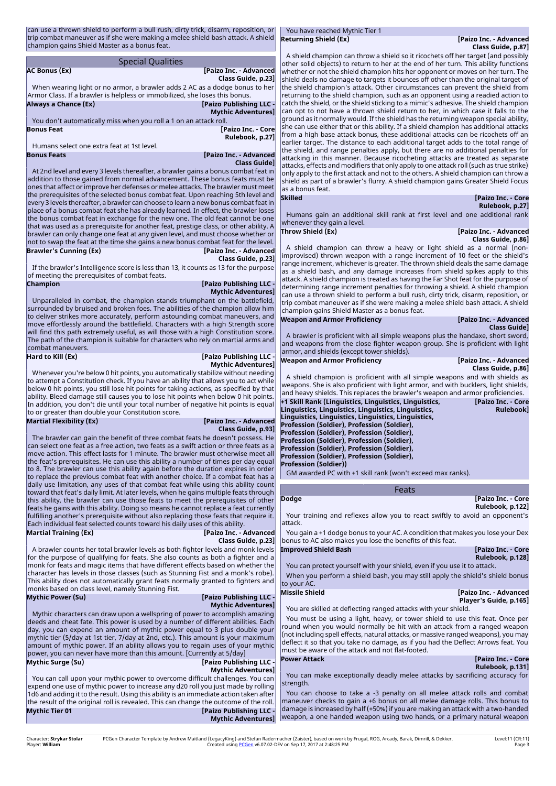can use a thrown shield to perform a bull rush, dirty trick, disarm, reposition, or trip combat maneuver as if she were making a melee shield bash attack. A shield champion gains Shield Master as a bonus feat.

| <b>Special Qualities</b>                                                                                                                                                                                                                                                                                                                                                                                                         |                                       |
|----------------------------------------------------------------------------------------------------------------------------------------------------------------------------------------------------------------------------------------------------------------------------------------------------------------------------------------------------------------------------------------------------------------------------------|---------------------------------------|
| <b>AC Bonus (Ex)</b><br>[Paizo Inc. - Advanced                                                                                                                                                                                                                                                                                                                                                                                   | Class Guide, p.23]                    |
| When wearing light or no armor, a brawler adds 2 AC as a dodge bonus to her<br>Armor Class. If a brawler is helpless or immobilized, she loses this bonus.                                                                                                                                                                                                                                                                       |                                       |
| Always a Chance (Ex)<br><b>[Paizo Publishing LLC -</b><br><b>Mythic Adventures]</b>                                                                                                                                                                                                                                                                                                                                              |                                       |
| You don't automatically miss when you roll a 1 on an attack roll.                                                                                                                                                                                                                                                                                                                                                                |                                       |
| <b>Bonus Feat</b>                                                                                                                                                                                                                                                                                                                                                                                                                | [Paizo Inc. - Core<br>Rulebook, p.27] |
| Humans select one extra feat at 1st level.                                                                                                                                                                                                                                                                                                                                                                                       |                                       |
| [Paizo Inc. - Advanced<br><b>Bonus Feats</b>                                                                                                                                                                                                                                                                                                                                                                                     | <b>Class Guide]</b>                   |
| At 2nd level and every 3 levels thereafter, a brawler gains a bonus combat feat in<br>addition to those gained from normal advancement. These bonus feats must be<br>ones that affect or improve her defenses or melee attacks. The brawler must meet<br>the prerequisites of the selected bonus combat feat. Upon reaching 5th level and<br>every 3 levels thereafter, a brawler can choose to learn a new bonus combat feat in |                                       |
| place of a bonus combat feat she has already learned. In effect, the brawler loses<br>the bonus combat feat in exchange for the new one. The old feat cannot be one<br>that was used as a precedurist for another feat prestige slass or other ability. $\Lambda$                                                                                                                                                                |                                       |

that was used as a prerequisite for another feat, prestige class, or other ability. A brawler can only change one feat at any given level, and must choose whether or not to swap the feat at the time she gains a new bonus combat feat for the level.<br>Brawler's Cunning (Ex) [Paizo Inc. - Advanced **Brawler's Cunning (Ex) Class Guide, p.23]**

If the brawler's Intelligence score is less than 13, it counts as 13 for the purpose of meeting the prerequisites of combat feats. **Champion [Paizo Publishing LLC -**

**Mythic Adventures]**

Unparalleled in combat, the champion stands triumphant on the battlefield, surrounded by bruised and broken foes. The abilities of the champion allow him to deliver strikes more accurately, perform astounding combat maneuvers, and move effortlessly around the battlefield. Characters with a high Strength score will find this path extremely useful, as will those with a high Constitution score. The path of the champion is suitable for characters who rely on martial arms and combat maneuvers.<br>Hard to Kill (Ex)

**Hard to Kill (Ex) [Paizo Publishing LLC - Mythic Adventures]**

Whenever you're below 0 hit points, you automatically stabilize without needing to attempt a Constitution check. If you have an ability that allows you to act while below 0 hit points, you still lose hit points for taking actions, as specified by that ability. Bleed damage still causes you to lose hit points when below 0 hit points. In addition, you don't die until your total number of negative hit points is equal to or greater than double your Constitution score. **Martial Flexibility (Ex) [Paizo Inc. - Advanced**

# **Class Guide, p.93]**

The brawler can gain the benefit of three combat feats he doesn't possess. He can select one feat as a free action, two feats as a swift action or three feats as a move action. This effect lasts for 1 minute. The brawler must otherwise meet all the feat's prerequisites. He can use this ability a number of times per day equal to 8. The brawler can use this ability again before the duration expires in order to replace the previous combat feat with another choice. If a combat feat has a daily use limitation, any uses of that combat feat while using this ability count toward that feat's daily limit. At later levels, when he gains multiple feats through this ability, the brawler can use those feats to meet the prerequisites of other feats he gains with this ability. Doing so means he cannot replace a feat currently fulfilling another's prerequisite without also replacing those feats that require it. Each individual feat selected counts toward his daily uses of this ability.

### **Martial Training (Ex) [Paizo Inc. - Advanced**

# **Class Guide, p.23]**

A brawler counts her total brawler levels as both fighter levels and monk levels for the purpose of qualifying for feats. She also counts as both a fighter and a monk for feats and magic items that have different effects based on whether the character has levels in those classes (such as Stunning Fist and a monk's robe). This ability does not automatically grant feats normally granted to fighters and monks based on class level, namely Stunning Fist.<br>Mythic Power (Su)

### **Mythic Power (Su) [Paizo Publishing LLC - Mythic Adventures]**

Mythic characters can draw upon a wellspring of power to accomplish amazing deeds and cheat fate. This power is used by a number of different abilities. Each day, you can expend an amount of mythic power equal to 3 plus double your mythic tier (5/day at 1st tier, 7/day at 2nd, etc.). This amount is your maximum amount of mythic power. If an ability allows you to regain uses of your mythic power, you can never have more than this amount. [Currently at 5/day]

### **Mythic Surge (Su) [Paizo Publishing LLC - Mythic Adventures]**

You can call upon your mythic power to overcome difficult challenges. You can expend one use of mythic power to increase any d20 roll you just made by rolling 1d6 and adding it to the result. Using this ability is an immediate action taken after the result of the original roll is revealed. This can change the outcome of the roll.<br>Muthic Tier 01 **Mythic Tier 01 [Paizo Publishing LLC - Mythic Adventures]**

You have reached Mythic Tier 1 **Returning Shield (Ex) [Paizo Inc. - Advanced**

# **Class Guide, p.87]**

A shield champion can throw a shield so it ricochets off her target (and possibly other solid objects) to return to her at the end of her turn. This ability functions whether or not the shield champion hits her opponent or moves on her turn. The shield deals no damage to targets it bounces off other than the original target of the shield champion's attack. Other circumstances can prevent the shield from returning to the shield champion, such as an opponent using a readied action to catch the shield, or the shield sticking to a mimic's adhesive. The shield champion can opt to not have a thrown shield return to her, in which case it falls to the ground as it normally would. If the shield has the returning weapon special ability, she can use either that or this ability. If a shield champion has additional attacks from a high base attack bonus, these additional attacks can be ricochets off an earlier target. The distance to each additional target adds to the total range of the shield, and range penalties apply, but there are no additional penalties for attacking in this manner. Because ricocheting attacks are treated as separate attacks, effects and modifiers that only apply to one attack roll (such as true strike) only apply to the first attack and not to the others. A shield champion can throw a shield as part of a brawler's flurry. A shield champion gains Greater Shield Focus as a bonus feat.<br>Skilled

| Skilled                                                                     |  |  |  |  | - IPaizo Inc. - Core |  |
|-----------------------------------------------------------------------------|--|--|--|--|----------------------|--|
|                                                                             |  |  |  |  | Rulebook, p.27       |  |
| Humans gain an additional skill rank at first level and one additional rank |  |  |  |  |                      |  |
| whenever they gain a level.                                                 |  |  |  |  |                      |  |

**Throw Shield (Ex) [Paizo Inc. - Advanced Class Guide, p.86]**

A shield champion can throw a heavy or light shield as a normal (nonimprovised) thrown weapon with a range increment of 10 feet or the shield's range increment, whichever is greater. The thrown shield deals the same damage as a shield bash, and any damage increases from shield spikes apply to this attack. A shield champion is treated as having the Far Shot feat for the purpose of determining range increment penalties for throwing a shield. A shield champion can use a thrown shield to perform a bull rush, dirty trick, disarm, reposition, or trip combat maneuver as if she were making a melee shield bash attack. A shield champion gains Shield Master as a bonus feat. **Weapon and Armor Proficiency** 

| Traizo Inc. - Advanced |                     |
|------------------------|---------------------|
|                        | <b>Class Guide]</b> |

A brawler is proficient with all simple weapons plus the handaxe, short sword, and weapons from the close fighter weapon group. She is proficient with light armor, and shields (except tower shields).

whenever they gain a level.<br>Throw Shield (Ex)

**Weapon and Armor Proficiency [Paizo Inc. - Advanced Class Guide, p.86]**

A shield champion is proficient with all simple weapons and with shields as weapons. She is also proficient with light armor, and with bucklers, light shields, and heavy shields. This replaces the brawler's weapon and armor proficiencies.

| +1 Skill Rank (Linguistics, Linguistics, Linguistics, | [Paizo Inc. - Core |
|-------------------------------------------------------|--------------------|
| Linguistics, Linguistics, Linguistics, Linguistics,   | <b>Rulebook</b>    |
| Linguistics, Linguistics, Linguistics, Linguistics,   |                    |
| Profession (Soldier), Profession (Soldier),           |                    |
| Profession (Soldier), Profession (Soldier),           |                    |
| Profession (Soldier), Profession (Soldier),           |                    |
| Profession (Soldier), Profession (Soldier),           |                    |
| Profession (Soldier), Profession (Soldier),           |                    |
| <b>Profession (Soldier))</b>                          |                    |
|                                                       |                    |

GM awarded PC with +1 skill rank (won't exceed max ranks).

|  | Feats                                                                        |
|--|------------------------------------------------------------------------------|
|  | [Paizo Inc. - Core<br><b>Dodge</b>                                           |
|  | Rulebook, p.122]                                                             |
|  | Your training and reflexes allow you to react swiftly to avoid an opponent's |
|  | lattack.                                                                     |

You gain a +1 dodge bonus to your AC. A condition that makes you lose your Dex bonus to AC also makes you lose the benefits of this feat.

| <b>Improved Shield Bash</b>                                                  | <b>[Paizo Inc. - Core</b><br>Rulebook, p.128] |
|------------------------------------------------------------------------------|-----------------------------------------------|
| You can protect yourself with your shield, even if you use it to attack.     |                                               |
| When you perform a chield bach you may still apply the chield's shield henve |                                               |

When you perform a shield bash, you may still apply the to your AC.

### **Missile Shield [Paizo Inc. - Advanced Player's Guide, p.165]**

You are skilled at deflecting ranged attacks with your shield.

You must be using a light, heavy, or tower shield to use this feat. Once per round when you would normally be hit with an attack from a ranged weapon (not including spell effects, natural attacks, or massive ranged weapons), you may deflect it so that you take no damage, as if you had the Deflect Arrows feat. You must be aware of the attack and not flat-footed. **Power Attack [Paizo Inc. - Core**

**Rulebook, p.131]**

You can make exceptionally deadly melee attacks by sacrificing accuracy for strength.

You can choose to take a -3 penalty on all melee attack rolls and combat maneuver checks to gain a +6 bonus on all melee damage rolls. This bonus to damage is increased by half (+50%) if you are making an attack with a two-handed weapon, a one handed weapon using two hands, or a primary natural weapon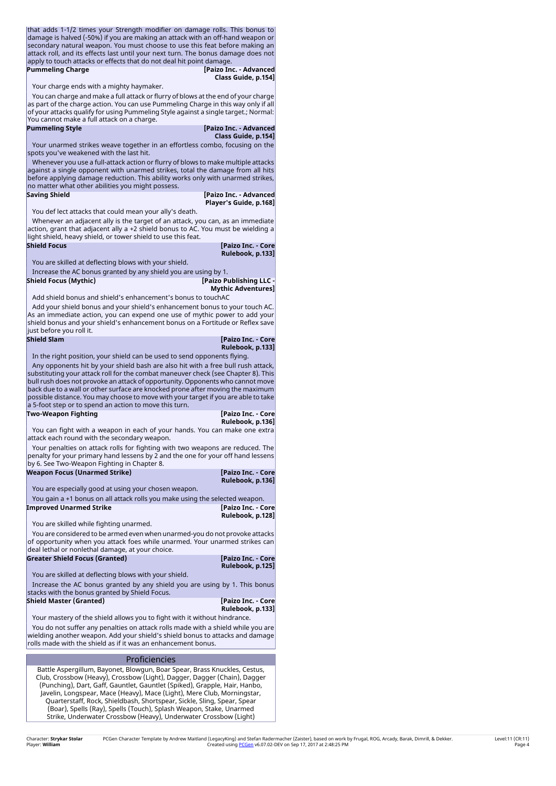that adds 1-1/2 times your Strength modifier on damage rolls. This bonus to damage is halved (-50%) if you are making an attack with an off-hand weapon or secondary natural weapon. You must choose to use this feat before making an attack roll, and its effects last until your next turn. The bonus damage does not apply to touch attacks or effects that do not deal hit point damage.<br>Pummeling Charge [19] **[Paizo Inc. - Advanced** 

**Class Guide, p.154]**

Your charge ends with a mighty haymaker.

You can charge and make a full attack or flurry of blows at the end of your charge as part of the charge action. You can use Pummeling Charge in this way only if all of your attacks qualify for using Pummeling Style against a single target.; Normal: You cannot make a full attack on a charge.<br>**Pummeling Style** 

### **[Paizo Inc. - Advanced Class Guide, p.154]**

Your unarmed strikes weave together in an effortless combo, focusing on the spots you've weakened with the last hit.

Whenever you use a full-attack action or flurry of blows to make multiple attacks against a single opponent with unarmed strikes, total the damage from all hits before applying damage reduction. This ability works only with unarmed strikes, no matter what other abilities you might possess.<br>Saving Shield

### **Saving Shield [Paizo Inc. - Advanced Player's Guide, p.168]**

You def lect attacks that could mean your ally's death.

Whenever an adjacent ally is the target of an attack, you can, as an immediate action, grant that adjacent ally a +2 shield bonus to AC. You must be wielding a light shield, heavy shield, or tower shield to use this feat. **Shield Focus [Paizo Inc. - Core**

You are skilled at deflecting blows with your shield.

Increase the AC bonus granted by any shield you are using by 1.<br>Shield Focus (Mythic) [Paizo Pu

**Shield Focus (Mythic) [Paizo Publishing LLC - Mythic Adventures]**

**Rulebook, p.133]**

Add shield bonus and shield's enhancement's bonus to touchAC

Add your shield bonus and your shield's enhancement bonus to your touch AC. As an immediate action, you can expend one use of mythic power to add your shield bonus and your shield's enhancement bonus on a Fortitude or Reflex save just before you roll it.<br>**Shield Slam** 

### **Shield Slam [Paizo Inc. - Core Rulebook, p.133]**

In the right position, your shield can be used to send opponents flying. Any opponents hit by your shield bash are also hit with a free bull rush attack, substituting your attack roll for the combat maneuver check (see Chapter 8). This bull rush does not provoke an attack of opportunity. Opponents who cannot move back due to a wall or other surface are knocked prone after moving the maximum possible distance. You may choose to move with your target if you are able to take a 5-foot step or to spend an action to move this turn.

| <b>Two-Weapon Fighting</b> | [Paizo Inc. - Core |
|----------------------------|--------------------|
|                            | Rulebook, p.136]   |

You can fight with a weapon in each of your hands. You can make one extra attack each round with the secondary weapon.

Your penalties on attack rolls for fighting with two weapons are reduced. The penalty for your primary hand lessens by 2 and the one for your off hand lessens by 6. See Two-Weapon Fighting in Chapter 8.

## **Weapon Focus (Unarmed Strike) [Paizo Inc. - Core**

**Rulebook, p.136]** You are especially good at using your chosen weapon.

You gain a +1 bonus on all attack rolls you make using the selected weapon.

**Improved Unarmed Strike [Paizo Inc. - Core**

You are skilled while fighting unarmed.

You are considered to be armed even when unarmed-you do not provoke attacks of opportunity when you attack foes while unarmed. Your unarmed strikes can deal lethal or nonlethal damage, at your choice. **Greater Shield Focus (Granted) [Paizo Inc. - Core**

**Rulebook, p.125]**

**Rulebook, p.128]**

You are skilled at deflecting blows with your shield.

Increase the AC bonus granted by any shield you are using by 1. This bonus stacks with the bonus granted by Shield Focus.

**Shield Master (Granted) [Paizo Inc. - Core**

## **Rulebook, p.133]**

Your mastery of the shield allows you to fight with it without hindrance. You do not suffer any penalties on attack rolls made with a shield while you are wielding another weapon. Add your shield's shield bonus to attacks and damage rolls made with the shield as if it was an enhancement bonus.

### **Proficiencies**

Battle Aspergillum, Bayonet, Blowgun, Boar Spear, Brass Knuckles, Cestus, Club, Crossbow (Heavy), Crossbow (Light), Dagger, Dagger (Chain), Dagger (Punching), Dart, Gaff, Gauntlet, Gauntlet (Spiked), Grapple, Hair, Hanbo, Javelin, Longspear, Mace (Heavy), Mace (Light), Mere Club, Morningstar, Quarterstaff, Rock, Shieldbash, Shortspear, Sickle, Sling, Spear, Spear (Boar), Spells (Ray), Spells (Touch), Splash Weapon, Stake, Unarmed Strike, Underwater Crossbow (Heavy), Underwater Crossbow (Light)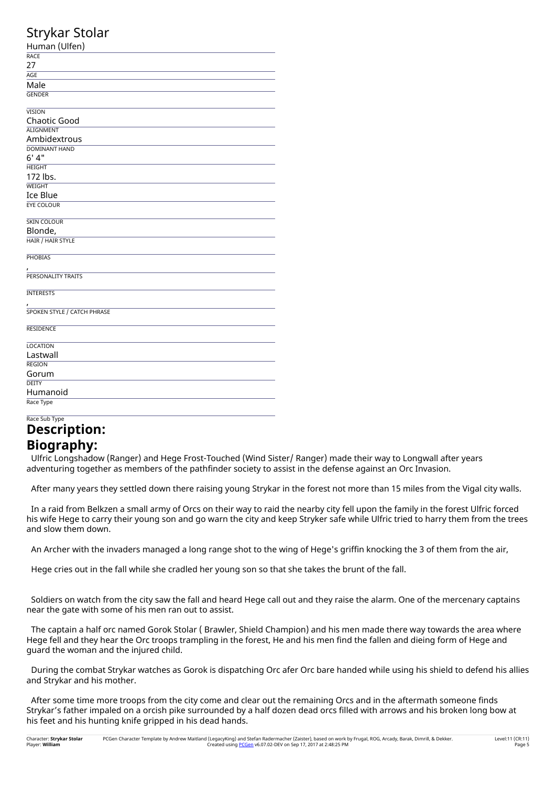# Strykar Stolar

| <b>Perginal</b><br>,,,,            |
|------------------------------------|
| Human (Ulfen)                      |
| <b>RACE</b>                        |
| 27                                 |
| <b>AGE</b>                         |
| Male                               |
| <b>GENDER</b>                      |
|                                    |
| <b>VISION</b>                      |
| <b>Chaotic Good</b>                |
| <b>ALIGNMENT</b>                   |
| Ambidextrous                       |
| <b>DOMINANT HAND</b>               |
| 6' 4''                             |
| <b>HEIGHT</b>                      |
| 172 lbs.                           |
| <b>WEIGHT</b>                      |
| Ice Blue                           |
| <b>EYE COLOUR</b>                  |
|                                    |
| <b>SKIN COLOUR</b>                 |
| Blonde,                            |
| <b>HAIR / HAIR STYLE</b>           |
| <b>PHOBIAS</b>                     |
|                                    |
| PERSONALITY TRAITS                 |
|                                    |
| <b>INTERESTS</b>                   |
|                                    |
| <b>SPOKEN STYLE / CATCH PHRASE</b> |
|                                    |
| RESIDENCE                          |
| <b>LOCATION</b>                    |
| Lastwall                           |
| <b>REGION</b>                      |
| Gorum                              |
| <b>DEITY</b>                       |
| Humanoid                           |
| Race Type                          |
|                                    |

# Race Sub Type **Description: Biography:**

Ulfric Longshadow (Ranger) and Hege Frost-Touched (Wind Sister/ Ranger) made their way to Longwall after years adventuring together as members of the pathfinder society to assist in the defense against an Orc Invasion.

After many years they settled down there raising young Strykar in the forest not more than 15 miles from the Vigal city walls.

In a raid from Belkzen a small army of Orcs on their way to raid the nearby city fell upon the family in the forest Ulfric forced his wife Hege to carry their young son and go warn the city and keep Stryker safe while Ulfric tried to harry them from the trees and slow them down.

An Archer with the invaders managed a long range shot to the wing of Hege's griffin knocking the 3 of them from the air,

Hege cries out in the fall while she cradled her young son so that she takes the brunt of the fall.

Soldiers on watch from the city saw the fall and heard Hege call out and they raise the alarm. One of the mercenary captains near the gate with some of his men ran out to assist.

The captain a half orc named Gorok Stolar ( Brawler, Shield Champion) and his men made there way towards the area where Hege fell and they hear the Orc troops trampling in the forest, He and his men find the fallen and dieing form of Hege and guard the woman and the injured child.

During the combat Strykar watches as Gorok is dispatching Orc afer Orc bare handed while using his shield to defend his allies and Strykar and his mother.

After some time more troops from the city come and clear out the remaining Orcs and in the aftermath someone finds Strykar's father impaled on a orcish pike surrounded by a half dozen dead orcs filled with arrows and his broken long bow at his feet and his hunting knife gripped in his dead hands.